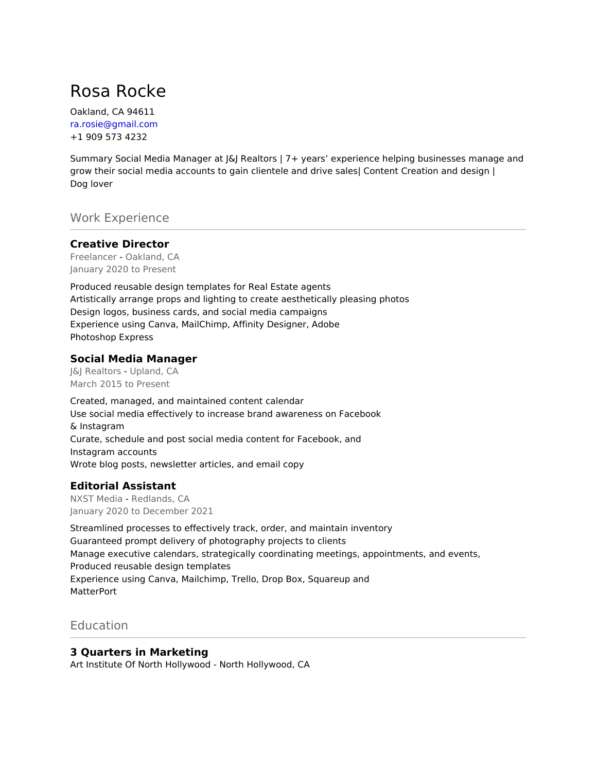# Rosa Rocke

Oakland, CA 94611 ra.rosie@gmail.com +1 909 573 4232

Summary Social Media Manager at J&J Realtors | 7+ years' experience helping businesses manage and grow their social media accounts to gain clientele and drive sales| Content Creation and design | Dog lover

Work Experience

### **Creative Director**

Freelancer - Oakland, CA January 2020 to Present

Produced reusable design templates for Real Estate agents Artistically arrange props and lighting to create aesthetically pleasing photos Design logos, business cards, and social media campaigns Experience using Canva, MailChimp, Affinity Designer, Adobe Photoshop Express

### **Social Media Manager**

J&J Realtors - Upland, CA March 2015 to Present

Created, managed, and maintained content calendar Use social media effectively to increase brand awareness on Facebook & Instagram Curate, schedule and post social media content for Facebook, and Instagram accounts Wrote blog posts, newsletter articles, and email copy

## **Editorial Assistant**

NXST Media - Redlands, CA January 2020 to December 2021

Streamlined processes to effectively track, order, and maintain inventory Guaranteed prompt delivery of photography projects to clients Manage executive calendars, strategically coordinating meetings, appointments, and events, Produced reusable design templates Experience using Canva, Mailchimp, Trello, Drop Box, Squareup and **MatterPort** 

# **Education**

## **3 Quarters in Marketing**

Art Institute Of North Hollywood - North Hollywood, CA